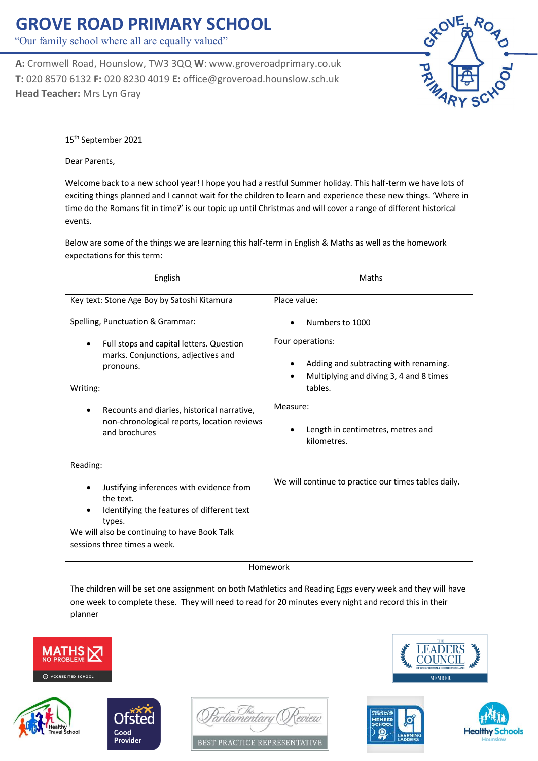## **GROVE ROAD PRIMARY SCHOOL**

"Our family school where all are equally valued"

**A:** Cromwell Road, Hounslow, TW3 3QQ **W**: www.groveroadprimary.co.uk **T:** 020 8570 6132 **F:** 020 8230 4019 **E:** office@groveroad.hounslow.sch.uk **Head Teacher:** Mrs Lyn Gray



15th September 2021

Dear Parents,

planner

Welcome back to a new school year! I hope you had a restful Summer holiday. This half-term we have lots of exciting things planned and I cannot wait for the children to learn and experience these new things. 'Where in time do the Romans fit in time?' is our topic up until Christmas and will cover a range of different historical events.

Below are some of the things we are learning this half-term in English & Maths as well as the homework expectations for this term:

| English                                                                                                                                                                                                                                                          | Maths                                                                                                                                                                                              |
|------------------------------------------------------------------------------------------------------------------------------------------------------------------------------------------------------------------------------------------------------------------|----------------------------------------------------------------------------------------------------------------------------------------------------------------------------------------------------|
| Key text: Stone Age Boy by Satoshi Kitamura                                                                                                                                                                                                                      | Place value:                                                                                                                                                                                       |
| Spelling, Punctuation & Grammar:<br>Full stops and capital letters. Question<br>٠<br>marks. Conjunctions, adjectives and<br>pronouns.<br>Writing:<br>Recounts and diaries, historical narrative,<br>non-chronological reports, location reviews<br>and brochures | Numbers to 1000<br>Four operations:<br>Adding and subtracting with renaming.<br>Multiplying and diving 3, 4 and 8 times<br>tables.<br>Measure:<br>Length in centimetres, metres and<br>kilometres. |
| Reading:                                                                                                                                                                                                                                                         |                                                                                                                                                                                                    |
| Justifying inferences with evidence from<br>the text.<br>Identifying the features of different text<br>types.<br>We will also be continuing to have Book Talk<br>sessions three times a week.                                                                    | We will continue to practice our times tables daily.                                                                                                                                               |
| Homework                                                                                                                                                                                                                                                         |                                                                                                                                                                                                    |
| The children will be set one assignment on both Mathletics and Reading Eggs every week and they will have                                                                                                                                                        |                                                                                                                                                                                                    |
| one week to complete these. They will need to read for 20 minutes every night and record this in their                                                                                                                                                           |                                                                                                                                                                                                    |